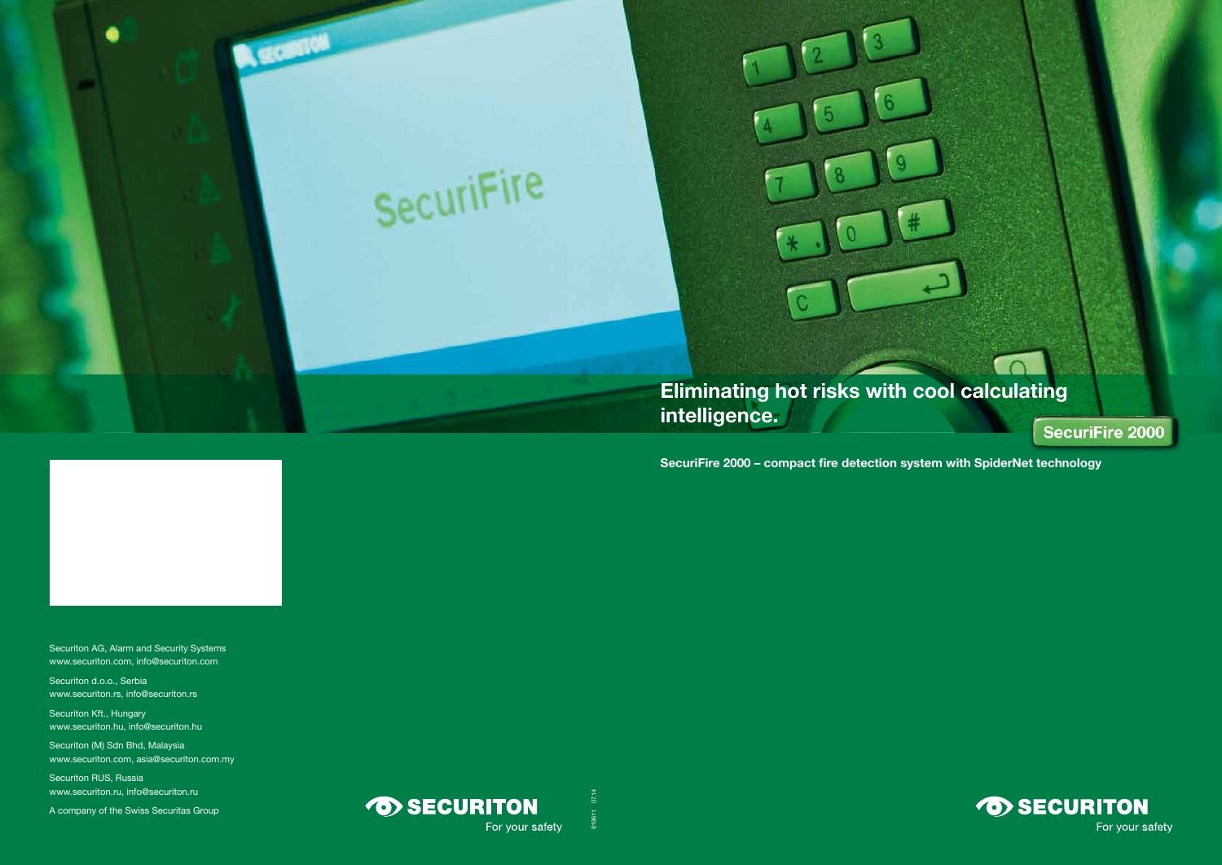



Securiton AG, Alarm and Security Systems www.securiton.com, info@securiton.com

Securiton d.o.o., Serbia www.securiton.rs, info@securiton.rs

Securiton Kft., Hungary www.securiton.hu, info@securiton.hu

Securiton (M) Sdn Bhd, Malaysia www.securiton.com, asia@securiton.com.my

Securiton RUS, Russia www.securiton.ru, info@securiton.ru

A company of the Swiss Securitas Group

![](_page_0_Picture_8.jpeg)

 $07.14$ 819611 07.14819611

# SecuriFire 2000

![](_page_0_Picture_13.jpeg)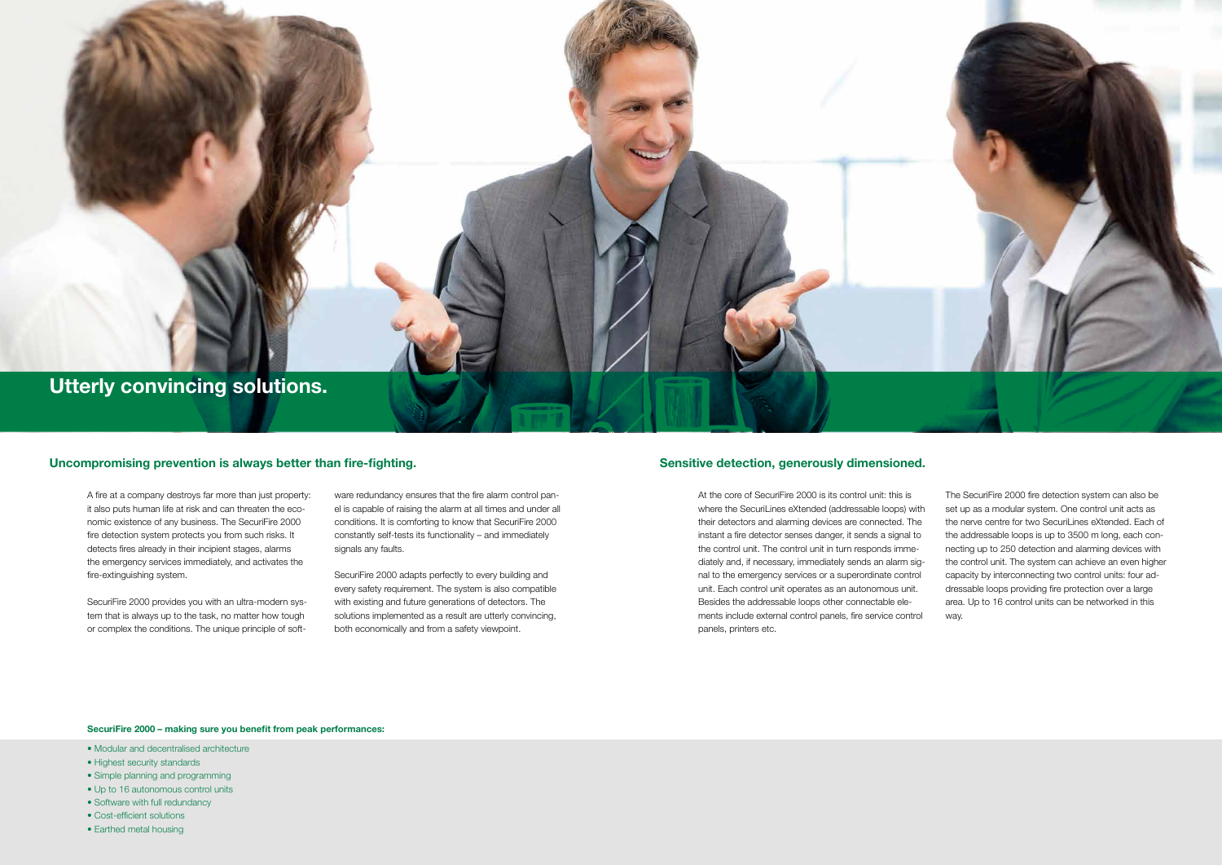![](_page_1_Picture_0.jpeg)

# Uncompromising prevention is always better than fire-fighting. Sensitive detection, generously dimensioned.

### SecuriFire 2000 – making sure you benefit from peak performances:

- Modular and decentralised architecture
- Highest security standards
- Simple planning and programming
- Up to 16 autonomous control units
- Software with full redundancy
- Cost-efficient solutions
- Earthed metal housing

![](_page_1_Picture_16.jpeg)

A fire at a company destroys far more than just property: it also puts human life at risk and can threaten the economic existence of any business. The SecuriFire 2000 fire detection system protects you from such risks. It detects fires already in their incipient stages, alarms the emergency services immediately, and activates the fire-extinguishing system.

SecuriFire 2000 provides you with an ultra-modern system that is always up to the task, no matter how tough or complex the conditions. The unique principle of software redundancy ensures that the fire alarm control panel is capable of raising the alarm at all times and under all conditions. It is comforting to know that SecuriFire 2000 constantly self-tests its functionality – and immediately signals any faults.

SecuriFire 2000 adapts perfectly to every building and every safety requirement. The system is also compatible with existing and future generations of detectors. The solutions implemented as a result are utterly convincing, both economically and from a safety viewpoint.

At the core of SecuriFire 2000 is its control unit: this is where the SecuriLines eXtended (addressable loops) with their detectors and alarming devices are connected. The instant a fire detector senses danger, it sends a signal to the control unit. The control unit in turn responds immediately and, if necessary, immediately sends an alarm signal to the emergency services or a superordinate control unit. Each control unit operates as an autonomous unit. Besides the addressable loops other connectable elements include external control panels, fire service control panels, printers etc.

- 
- The SecuriFire 2000 fire detection system can also be set up as a modular system. One control unit acts as the nerve centre for two SecuriLines eXtended. Each of the addressable loops is up to 3500 m long, each connecting up to 250 detection and alarming devices with the control unit. The system can achieve an even higher capacity by interconnecting two control units: four addressable loops providing fire protection over a large area. Up to 16 control units can be networked in this way.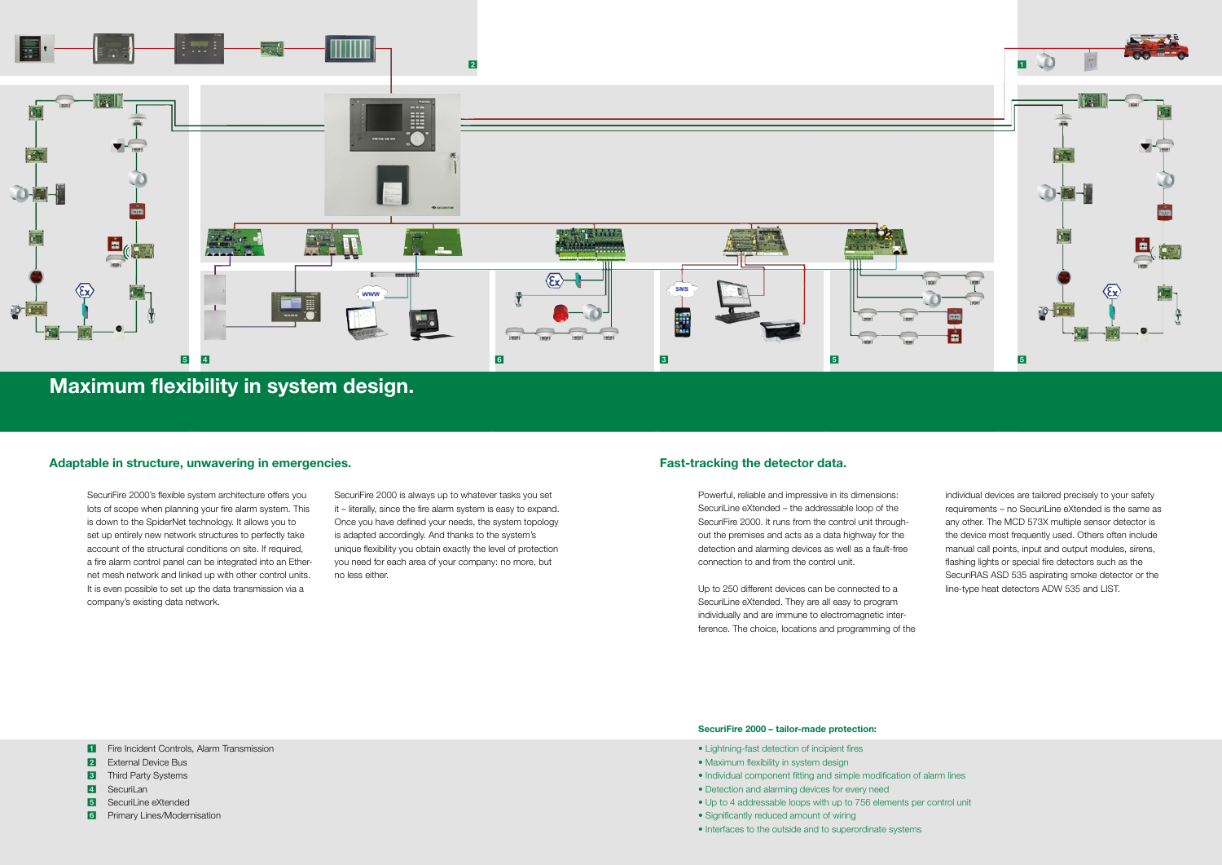![](_page_2_Picture_0.jpeg)

### SecuriFire 2000 – tailor-made protection:

- Lightning-fast detection of incipient fires
- Maximum flexibility in system design
- Individual component fitting and simple modification of alarm lines
- Detection and alarming devices for every need
	- Up to 4 addressable loops with up to 756 elements per control unit
	- Significantly reduced amount of wiring
	- Interfaces to the outside and to superordinate systems

SecuriFire 2000's flexible system architecture offers you lots of scope when planning your fire alarm system. This is down to the SpiderNet technology. It allows you to set up entirely new network structures to perfectly take account of the structural conditions on site. If required, a fire alarm control panel can be integrated into an Ethernet mesh network and linked up with other control units. It is even possible to set up the data transmission via a company's existing data network.

SecuriFire 2000 is always up to whatever tasks you set it – literally, since the fire alarm system is easy to expand. Once you have defined your needs, the system topology is adapted accordingly. And thanks to the system's unique flexibility you obtain exactly the level of protection you need for each area of your company: no more, but no less either.

- **Fi** Fire Incident Controls, Alarm Transmission
- **2** External Device Bus
- **3** Third Party Systems
- 4 SecuriLan
- **5** SecuriLine eXtended
- 6 Primary Lines/Modernisation

Powerful, reliable and impressive in its dimensions: SecuriLine eXtended – the addressable loop of the SecuriFire 2000. It runs from the control unit throughout the premises and acts as a data highway for the detection and alarming devices as well as a fault-free connection to and from the control unit.

Up to 250 different devices can be connected to a SecuriLine eXtended. They are all easy to program individually and are immune to electromagnetic interference. The choice, locations and programming of the individual devices are tailored precisely to your safety requirements – no SecuriLine eXtended is the same as any other. The MCD 573X multiple sensor detector is the device most frequently used. Others often include manual call points, input and output modules, sirens, flashing lights or special fire detectors such as the SecuriRAS ASD 535 aspirating smoke detector or the line-type heat detectors ADW 535 and LIST.

# Maximum flexibility in system design.

## Adaptable in structure, unwavering in emergencies. The state of the state of the state of the detector data.